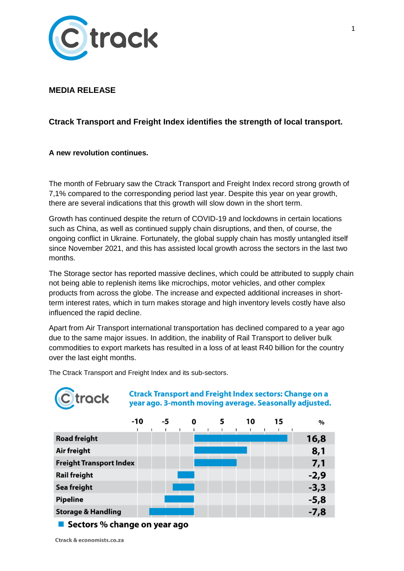

## **MEDIA RELEASE**

# **Ctrack Transport and Freight Index identifies the strength of local transport.**

**A new revolution continues.**

The month of February saw the Ctrack Transport and Freight Index record strong growth of 7,1% compared to the corresponding period last year. Despite this year on year growth, there are several indications that this growth will slow down in the short term.

Growth has continued despite the return of COVID-19 and lockdowns in certain locations such as China, as well as continued supply chain disruptions, and then, of course, the ongoing conflict in Ukraine. Fortunately, the global supply chain has mostly untangled itself since November 2021, and this has assisted local growth across the sectors in the last two months.

The Storage sector has reported massive declines, which could be attributed to supply chain not being able to replenish items like microchips, motor vehicles, and other complex products from across the globe. The increase and expected additional increases in shortterm interest rates, which in turn makes storage and high inventory levels costly have also influenced the rapid decline.

Apart from Air Transport international transportation has declined compared to a year ago due to the same major issues. In addition, the inability of Rail Transport to deliver bulk commodities to export markets has resulted in a loss of at least R40 billion for the country over the last eight months.

The Ctrack Transport and Freight Index and its sub-sectors.



**Ctrack Transport and Freight Index sectors: Change on a** year ago. 3-month moving average. Seasonally adjusted.

|                                | $-10$ | -5 | 0 | 5 | 10 | 15 | $\%$   |
|--------------------------------|-------|----|---|---|----|----|--------|
| <b>Road freight</b>            |       |    |   |   |    |    | 16,8   |
| Air freight                    |       |    |   |   |    |    | 8,1    |
| <b>Freight Transport Index</b> |       |    |   |   |    |    | 7,1    |
| <b>Rail freight</b>            |       |    |   |   |    |    | $-2,9$ |
| Sea freight                    |       |    |   |   |    |    | $-3,3$ |
| <b>Pipeline</b>                |       |    |   |   |    |    | $-5,8$ |
| <b>Storage &amp; Handling</b>  |       |    |   |   |    |    | $-7,8$ |
|                                |       |    |   |   |    |    |        |

■ Sectors % change on year ago

Ctrack & economists.co.za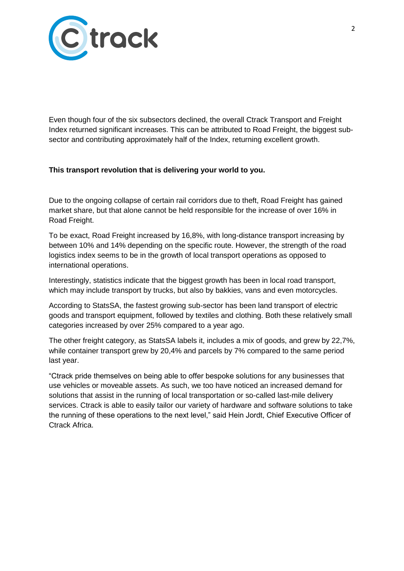

Even though four of the six subsectors declined, the overall Ctrack Transport and Freight Index returned significant increases. This can be attributed to Road Freight, the biggest subsector and contributing approximately half of the Index, returning excellent growth.

### **This transport revolution that is delivering your world to you.**

Due to the ongoing collapse of certain rail corridors due to theft, Road Freight has gained market share, but that alone cannot be held responsible for the increase of over 16% in Road Freight.

To be exact, Road Freight increased by 16,8%, with long-distance transport increasing by between 10% and 14% depending on the specific route. However, the strength of the road logistics index seems to be in the growth of local transport operations as opposed to international operations.

Interestingly, statistics indicate that the biggest growth has been in local road transport, which may include transport by trucks, but also by bakkies, vans and even motorcycles.

According to StatsSA, the fastest growing sub-sector has been land transport of electric goods and transport equipment, followed by textiles and clothing. Both these relatively small categories increased by over 25% compared to a year ago.

The other freight category, as StatsSA labels it, includes a mix of goods, and grew by 22,7%, while container transport grew by 20,4% and parcels by 7% compared to the same period last year.

"Ctrack pride themselves on being able to offer bespoke solutions for any businesses that use vehicles or moveable assets. As such, we too have noticed an increased demand for solutions that assist in the running of local transportation or so-called last-mile delivery services. Ctrack is able to easily tailor our variety of hardware and software solutions to take the running of these operations to the next level," said Hein Jordt, Chief Executive Officer of Ctrack Africa.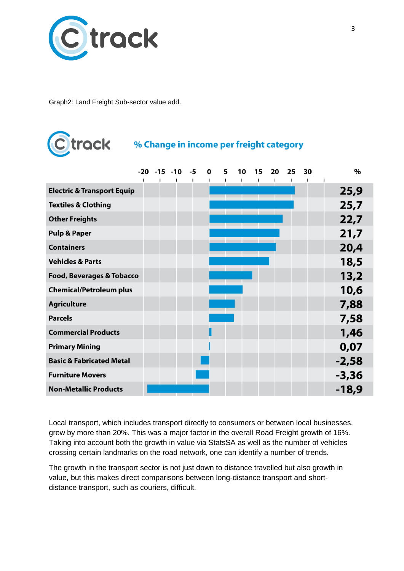

Graph2: Land Freight Sub-sector value add.

# C track

# % Change in income per freight category

|                                       |  | $-20 -15 -10 -5$ | 0 | 5   | 10<br>$\mathbf{I}$                            | 15 | 20<br>$\mathbf{I}$ | 25 | 30 | $\%$    |
|---------------------------------------|--|------------------|---|-----|-----------------------------------------------|----|--------------------|----|----|---------|
| <b>Electric &amp; Transport Equip</b> |  |                  |   |     | the control of the control of the control of  |    |                    |    |    | 25,9    |
| <b>Textiles &amp; Clothing</b>        |  |                  |   |     |                                               |    |                    |    |    | 25,7    |
| <b>Other Freights</b>                 |  |                  |   |     | ______<br>_____                               |    |                    |    |    | 22,7    |
| <b>Pulp &amp; Paper</b>               |  |                  |   |     |                                               |    |                    |    |    | 21,7    |
| <b>Containers</b>                     |  |                  |   |     | ______<br>the contract of the contract of the |    |                    |    |    | 20,4    |
| <b>Vehicles &amp; Parts</b>           |  |                  |   |     |                                               |    |                    |    |    | 18,5    |
| <b>Food, Beverages &amp; Tobacco</b>  |  |                  |   | ___ |                                               |    |                    |    |    | 13,2    |
| <b>Chemical/Petroleum plus</b>        |  |                  |   |     |                                               |    |                    |    |    | 10,6    |
| <b>Agriculture</b>                    |  |                  |   |     |                                               |    |                    |    |    | 7,88    |
| <b>Parcels</b>                        |  |                  |   |     |                                               |    |                    |    |    | 7,58    |
| <b>Commercial Products</b>            |  |                  |   |     |                                               |    |                    |    |    | 1,46    |
| <b>Primary Mining</b>                 |  |                  |   |     |                                               |    |                    |    |    | 0,07    |
| <b>Basic &amp; Fabricated Metal</b>   |  |                  |   |     |                                               |    |                    |    |    | $-2,58$ |
| <b>Furniture Movers</b>               |  |                  |   |     |                                               |    |                    |    |    | $-3,36$ |
| <b>Non-Metallic Products</b>          |  |                  |   |     |                                               |    |                    |    |    | $-18,9$ |

Local transport, which includes transport directly to consumers or between local businesses, grew by more than 20%. This was a major factor in the overall Road Freight growth of 16%. Taking into account both the growth in value via StatsSA as well as the number of vehicles crossing certain landmarks on the road network, one can identify a number of trends.

The growth in the transport sector is not just down to distance travelled but also growth in value, but this makes direct comparisons between long-distance transport and shortdistance transport, such as couriers, difficult.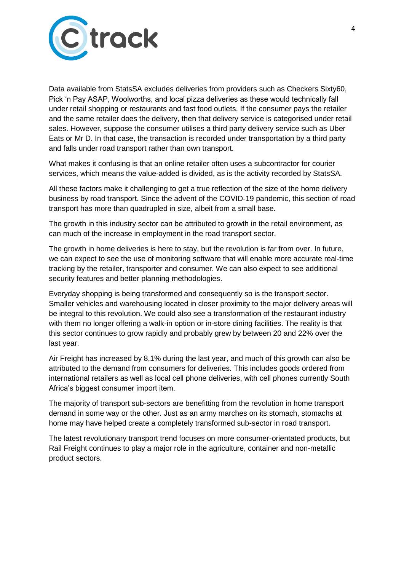

Data available from StatsSA excludes deliveries from providers such as Checkers Sixty60, Pick "n Pay ASAP, Woolworths, and local pizza deliveries as these would technically fall under retail shopping or restaurants and fast food outlets. If the consumer pays the retailer and the same retailer does the delivery, then that delivery service is categorised under retail sales. However, suppose the consumer utilises a third party delivery service such as Uber Eats or Mr D. In that case, the transaction is recorded under transportation by a third party and falls under road transport rather than own transport.

What makes it confusing is that an online retailer often uses a subcontractor for courier services, which means the value-added is divided, as is the activity recorded by StatsSA.

All these factors make it challenging to get a true reflection of the size of the home delivery business by road transport. Since the advent of the COVID-19 pandemic, this section of road transport has more than quadrupled in size, albeit from a small base.

The growth in this industry sector can be attributed to growth in the retail environment, as can much of the increase in employment in the road transport sector.

The growth in home deliveries is here to stay, but the revolution is far from over. In future, we can expect to see the use of monitoring software that will enable more accurate real-time tracking by the retailer, transporter and consumer. We can also expect to see additional security features and better planning methodologies.

Everyday shopping is being transformed and consequently so is the transport sector. Smaller vehicles and warehousing located in closer proximity to the major delivery areas will be integral to this revolution. We could also see a transformation of the restaurant industry with them no longer offering a walk-in option or in-store dining facilities. The reality is that this sector continues to grow rapidly and probably grew by between 20 and 22% over the last year.

Air Freight has increased by 8,1% during the last year, and much of this growth can also be attributed to the demand from consumers for deliveries. This includes goods ordered from international retailers as well as local cell phone deliveries, with cell phones currently South Africa"s biggest consumer import item.

The majority of transport sub-sectors are benefitting from the revolution in home transport demand in some way or the other. Just as an army marches on its stomach, stomachs at home may have helped create a completely transformed sub-sector in road transport.

The latest revolutionary transport trend focuses on more consumer-orientated products, but Rail Freight continues to play a major role in the agriculture, container and non-metallic product sectors.